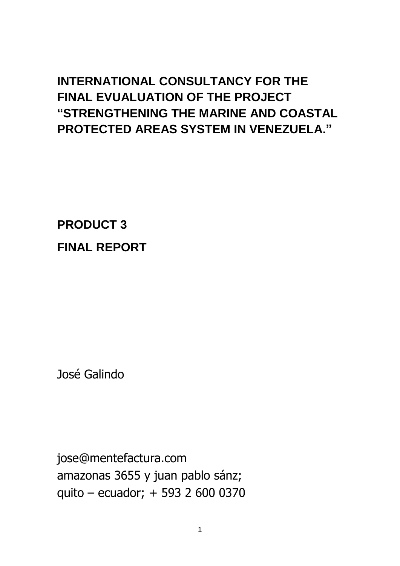# **INTERNATIONAL CONSULTANCY FOR THE FINAL EVUALUATION OF THE PROJECT "STRENGTHENING THE MARINE AND COASTAL PROTECTED AREAS SYSTEM IN VENEZUELA."**

**PRODUCT 3 FINAL REPORT**

José Galindo

jose@mentefactura.com amazonas 3655 y juan pablo sánz; quito – ecuador; + 593 2 600 0370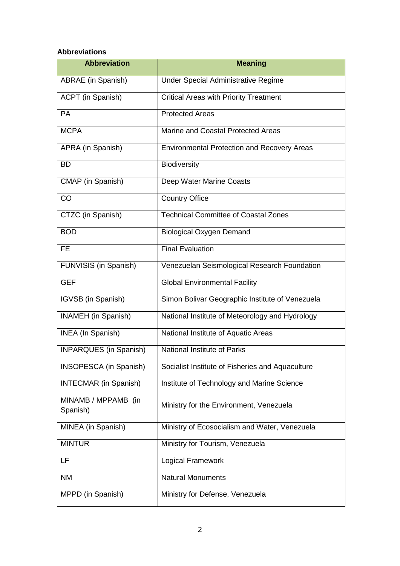#### **Abbreviations**

| <b>Abbreviation</b>             | <b>Meaning</b>                                     |
|---------------------------------|----------------------------------------------------|
| ABRAE (in Spanish)              | <b>Under Special Administrative Regime</b>         |
| ACPT (in Spanish)               | <b>Critical Areas with Priority Treatment</b>      |
| <b>PA</b>                       | <b>Protected Areas</b>                             |
| <b>MCPA</b>                     | Marine and Coastal Protected Areas                 |
| APRA (in Spanish)               | <b>Environmental Protection and Recovery Areas</b> |
| <b>BD</b>                       | <b>Biodiversity</b>                                |
| CMAP (in Spanish)               | Deep Water Marine Coasts                           |
| CO                              | <b>Country Office</b>                              |
| CTZC (in Spanish)               | <b>Technical Committee of Coastal Zones</b>        |
| <b>BOD</b>                      | <b>Biological Oxygen Demand</b>                    |
| FE.                             | <b>Final Evaluation</b>                            |
| FUNVISIS (in Spanish)           | Venezuelan Seismological Research Foundation       |
| <b>GEF</b>                      | <b>Global Environmental Facility</b>               |
| IGVSB (in Spanish)              | Simon Bolivar Geographic Institute of Venezuela    |
| INAMEH (in Spanish)             | National Institute of Meteorology and Hydrology    |
| <b>INEA</b> (In Spanish)        | National Institute of Aquatic Areas                |
| <b>INPARQUES</b> (in Spanish)   | <b>National Institute of Parks</b>                 |
| INSOPESCA (in Spanish)          | Socialist Institute of Fisheries and Aquaculture   |
| <b>INTECMAR (in Spanish)</b>    | Institute of Technology and Marine Science         |
| MINAMB / MPPAMB (in<br>Spanish) | Ministry for the Environment, Venezuela            |
| MINEA (in Spanish)              | Ministry of Ecosocialism and Water, Venezuela      |
| <b>MINTUR</b>                   | Ministry for Tourism, Venezuela                    |
| LF                              | <b>Logical Framework</b>                           |
| <b>NM</b>                       | Natural Monuments                                  |
| MPPD (in Spanish)               | Ministry for Defense, Venezuela                    |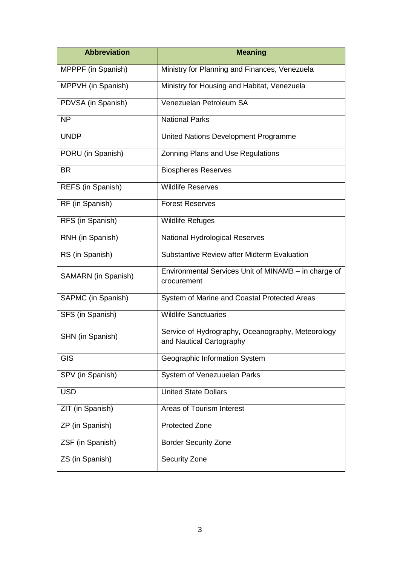| <b>Abbreviation</b>        | <b>Meaning</b>                                                                |
|----------------------------|-------------------------------------------------------------------------------|
| MPPPF (in Spanish)         | Ministry for Planning and Finances, Venezuela                                 |
| MPPVH (in Spanish)         | Ministry for Housing and Habitat, Venezuela                                   |
| PDVSA (in Spanish)         | Venezuelan Petroleum SA                                                       |
| NP                         | <b>National Parks</b>                                                         |
| <b>UNDP</b>                | United Nations Development Programme                                          |
| PORU (in Spanish)          | Zonning Plans and Use Regulations                                             |
| <b>BR</b>                  | <b>Biospheres Reserves</b>                                                    |
| REFS (in Spanish)          | <b>Wildlife Reserves</b>                                                      |
| RF (in Spanish)            | <b>Forest Reserves</b>                                                        |
| RFS (in Spanish)           | <b>Wildlife Refuges</b>                                                       |
| RNH (in Spanish)           | <b>National Hydrological Reserves</b>                                         |
| RS (in Spanish)            | Substantive Review after Midterm Evaluation                                   |
| <b>SAMARN</b> (in Spanish) | Environmental Services Unit of MINAMB - in charge of<br>crocurement           |
| SAPMC (in Spanish)         | System of Marine and Coastal Protected Areas                                  |
| SFS (in Spanish)           | <b>Wildlife Sanctuaries</b>                                                   |
| SHN (in Spanish)           | Service of Hydrography, Oceanography, Meteorology<br>and Nautical Cartography |
| <b>GIS</b>                 | Geographic Information System                                                 |
| SPV (in Spanish)           | System of Venezuuelan Parks                                                   |
| <b>USD</b>                 | <b>United State Dollars</b>                                                   |
| ZIT (in Spanish)           | Areas of Tourism Interest                                                     |
| ZP (in Spanish)            | <b>Protected Zone</b>                                                         |
| ZSF (in Spanish)           | <b>Border Security Zone</b>                                                   |
| ZS (in Spanish)            | <b>Security Zone</b>                                                          |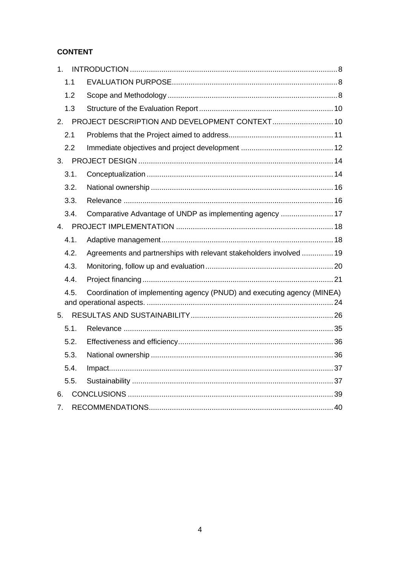## **CONTENT**

| 1 <sub>1</sub> |                                                                         |  |
|----------------|-------------------------------------------------------------------------|--|
| 1.1            |                                                                         |  |
| 1.2            |                                                                         |  |
| 1.3            |                                                                         |  |
| 2.             | PROJECT DESCRIPTION AND DEVELOPMENT CONTEXT 10                          |  |
| 2.1            |                                                                         |  |
| 2.2            |                                                                         |  |
| 3.             |                                                                         |  |
| 3.1.           |                                                                         |  |
| 3.2.           |                                                                         |  |
| 3.3.           |                                                                         |  |
| 3.4.           | Comparative Advantage of UNDP as implementing agency  17                |  |
| 4.             |                                                                         |  |
| 4.1.           |                                                                         |  |
| 4.2.           | Agreements and partnerships with relevant stakeholders involved  19     |  |
| 4.3.           |                                                                         |  |
| 4.4.           |                                                                         |  |
| 4.5.           | Coordination of implementing agency (PNUD) and executing agency (MINEA) |  |
| 5.             |                                                                         |  |
| 5.1.           |                                                                         |  |
| 5.2.           |                                                                         |  |
| 5.3.           |                                                                         |  |
| 5.4.           |                                                                         |  |
| 5.5.           |                                                                         |  |
| 6.             |                                                                         |  |
| 7.             |                                                                         |  |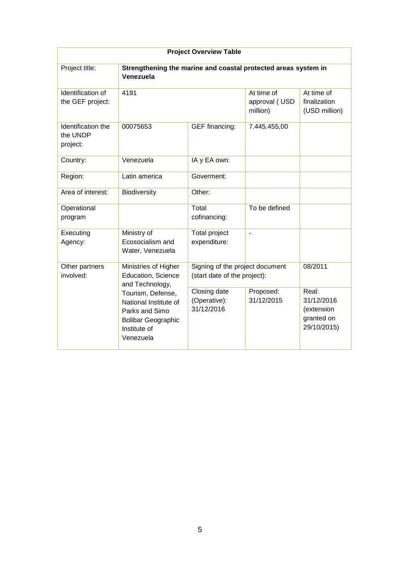| <b>Project Overview Table</b>              |                                                                                                                        |                                                                 |                                         |                                                                |
|--------------------------------------------|------------------------------------------------------------------------------------------------------------------------|-----------------------------------------------------------------|-----------------------------------------|----------------------------------------------------------------|
| Project title:                             | Strengthening the marine and coastal protected areas system in<br>Venezuela                                            |                                                                 |                                         |                                                                |
| Identification of<br>the GEF project:      | 4191                                                                                                                   |                                                                 | At time of<br>approval (USD<br>million) | At time of<br>finalization<br>(USD million)                    |
| Identification the<br>the UNDP<br>project: | 00075653                                                                                                               | <b>GEF</b> financing:                                           | 7.445.455,00                            |                                                                |
| Country:                                   | Venezuela                                                                                                              | IA y EA own:                                                    |                                         |                                                                |
| Region:                                    | Latin america                                                                                                          | Goverment:                                                      |                                         |                                                                |
| Area of interest:                          | Biodiversity                                                                                                           | Other:                                                          |                                         |                                                                |
| Operational<br>program                     |                                                                                                                        | Total<br>cofinancing:                                           | To be defined                           |                                                                |
| Executing<br>Agency:                       | Ministry of<br>Ecosocialism and<br>Water, Venezuela                                                                    | Total project<br>expenditure:                                   | ÷,                                      |                                                                |
| Other partners<br>involved:                | Ministries of Higher<br>Education, Science<br>and Technology,                                                          | Signing of the project document<br>(start date of the project): |                                         | 08/2011                                                        |
|                                            | Tourism, Defense,<br>National Institute of<br>Parks and Simo<br><b>Bolibar Geographic</b><br>Institute of<br>Venezuela | Closing date<br>(Operative):<br>31/12/2016                      | Proposed:<br>31/12/2015                 | Real:<br>31/12/2016<br>(extension<br>granted on<br>29/10/2015) |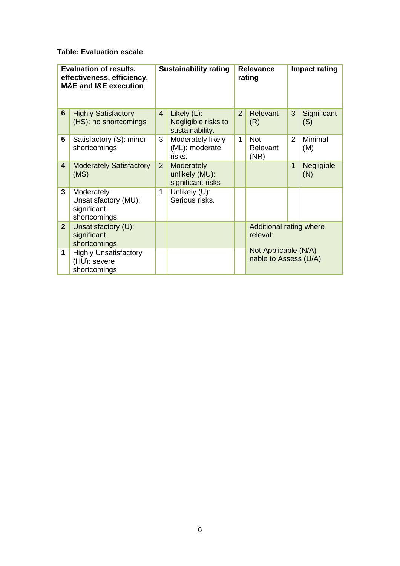#### **Table: Evaluation escale**

|                | <b>Evaluation of results,</b><br>effectiveness, efficiency,<br><b>M&amp;E and I&amp;E execution</b> |                | <b>Sustainability rating</b>                             |                | <b>Relevance</b><br>rating                    |                | <b>Impact rating</b> |
|----------------|-----------------------------------------------------------------------------------------------------|----------------|----------------------------------------------------------|----------------|-----------------------------------------------|----------------|----------------------|
| 6              | <b>Highly Satisfactory</b><br>(HS): no shortcomings                                                 | $\overline{4}$ | Likely $(L)$ :<br>Negligible risks to<br>sustainability. | $\overline{2}$ | Relevant<br>(R)                               | 3              | Significant<br>(S)   |
| 5              | Satisfactory (S): minor<br>shortcomings                                                             | 3              | Moderately likely<br>(ML): moderate<br>risks.            | $\mathbf{1}$   | <b>Not</b><br>Relevant<br>(NR)                | $\overline{2}$ | Minimal<br>(M)       |
| 4              | <b>Moderately Satisfactory</b><br>(MS)                                                              | 2 <sup>2</sup> | <b>Moderately</b><br>unlikely (MU):<br>significant risks |                |                                               | $\mathbf{1}$   | Negligible<br>(N)    |
| 3              | Moderately<br>Unsatisfactory (MU):<br>significant<br>shortcomings                                   | 1              | Unlikely (U):<br>Serious risks.                          |                |                                               |                |                      |
| 2 <sup>2</sup> | Unsatisfactory (U):<br>significant<br>shortcomings                                                  |                |                                                          |                | Additional rating where<br>relevat:           |                |                      |
| 1              | <b>Highly Unsatisfactory</b><br>(HU): severe<br>shortcomings                                        |                |                                                          |                | Not Applicable (N/A)<br>nable to Assess (U/A) |                |                      |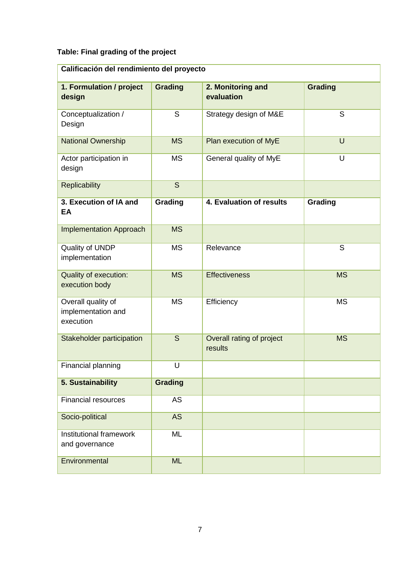## **Table: Final grading of the project**

| Calificación del rendimiento del proyecto             |                |                                      |                |  |
|-------------------------------------------------------|----------------|--------------------------------------|----------------|--|
| 1. Formulation / project<br>design                    | <b>Grading</b> | 2. Monitoring and<br>evaluation      | <b>Grading</b> |  |
| Conceptualization /<br>Design                         | S              | Strategy design of M&E               | S              |  |
| <b>National Ownership</b>                             | <b>MS</b>      | Plan execution of MyE                | U              |  |
| Actor participation in<br>design                      | <b>MS</b>      | General quality of MyE               | U              |  |
| <b>Replicability</b>                                  | S              |                                      |                |  |
| 3. Execution of IA and<br>EA                          | Grading        | 4. Evaluation of results             | Grading        |  |
| <b>Implementation Approach</b>                        | <b>MS</b>      |                                      |                |  |
| Quality of UNDP<br>implementation                     | <b>MS</b>      | Relevance                            | $\mathsf S$    |  |
| <b>Quality of execution:</b><br>execution body        | <b>MS</b>      | <b>Effectiveness</b>                 | <b>MS</b>      |  |
| Overall quality of<br>implementation and<br>execution | <b>MS</b>      | Efficiency                           | <b>MS</b>      |  |
| Stakeholder participation                             | S              | Overall rating of project<br>results | <b>MS</b>      |  |
| Financial planning                                    | U              |                                      |                |  |
| 5. Sustainability                                     | <b>Grading</b> |                                      |                |  |
| <b>Financial resources</b>                            | <b>AS</b>      |                                      |                |  |
| Socio-political                                       | <b>AS</b>      |                                      |                |  |
| Institutional framework<br>and governance             | ML             |                                      |                |  |
| Environmental                                         | <b>ML</b>      |                                      |                |  |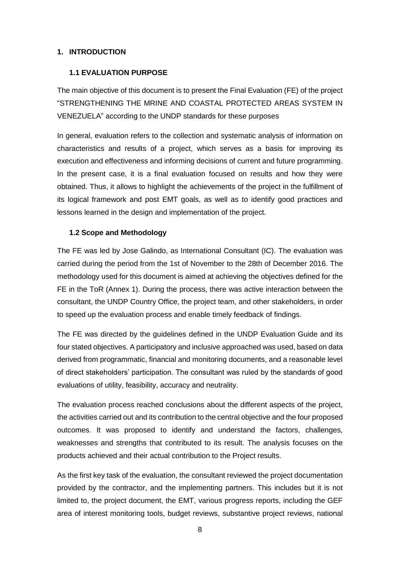#### <span id="page-7-0"></span>**1. INTRODUCTION**

#### <span id="page-7-1"></span>**1.1 EVALUATION PURPOSE**

The main objective of this document is to present the Final Evaluation (FE) of the project "STRENGTHENING THE MRINE AND COASTAL PROTECTED AREAS SYSTEM IN VENEZUELA" according to the UNDP standards for these purposes

In general, evaluation refers to the collection and systematic analysis of information on characteristics and results of a project, which serves as a basis for improving its execution and effectiveness and informing decisions of current and future programming. In the present case, it is a final evaluation focused on results and how they were obtained. Thus, it allows to highlight the achievements of the project in the fulfillment of its logical framework and post EMT goals, as well as to identify good practices and lessons learned in the design and implementation of the project.

#### <span id="page-7-2"></span>**1.2 Scope and Methodology**

The FE was led by Jose Galindo, as International Consultant (IC). The evaluation was carried during the period from the 1st of November to the 28th of December 2016. The methodology used for this document is aimed at achieving the objectives defined for the FE in the ToR (Annex 1). During the process, there was active interaction between the consultant, the UNDP Country Office, the project team, and other stakeholders, in order to speed up the evaluation process and enable timely feedback of findings.

The FE was directed by the guidelines defined in the UNDP Evaluation Guide and its four stated objectives. A participatory and inclusive approached was used, based on data derived from programmatic, financial and monitoring documents, and a reasonable level of direct stakeholders' participation. The consultant was ruled by the standards of good evaluations of utility, feasibility, accuracy and neutrality.

The evaluation process reached conclusions about the different aspects of the project, the activities carried out and its contribution to the central objective and the four proposed outcomes. It was proposed to identify and understand the factors, challenges, weaknesses and strengths that contributed to its result. The analysis focuses on the products achieved and their actual contribution to the Project results.

As the first key task of the evaluation, the consultant reviewed the project documentation provided by the contractor, and the implementing partners. This includes but it is not limited to, the project document, the EMT, various progress reports, including the GEF area of interest monitoring tools, budget reviews, substantive project reviews, national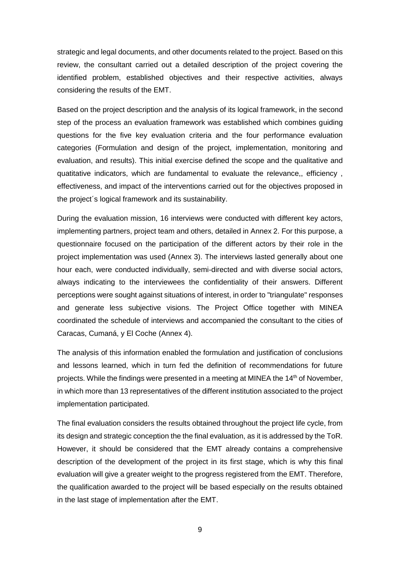strategic and legal documents, and other documents related to the project. Based on this review, the consultant carried out a detailed description of the project covering the identified problem, established objectives and their respective activities, always considering the results of the EMT.

Based on the project description and the analysis of its logical framework, in the second step of the process an evaluation framework was established which combines guiding questions for the five key evaluation criteria and the four performance evaluation categories (Formulation and design of the project, implementation, monitoring and evaluation, and results). This initial exercise defined the scope and the qualitative and quatitative indicators, which are fundamental to evaluate the relevance,, efficiency , effectiveness, and impact of the interventions carried out for the objectives proposed in the project´s logical framework and its sustainability.

During the evaluation mission, 16 interviews were conducted with different key actors, implementing partners, project team and others, detailed in Annex 2. For this purpose, a questionnaire focused on the participation of the different actors by their role in the project implementation was used (Annex 3). The interviews lasted generally about one hour each, were conducted individually, semi-directed and with diverse social actors, always indicating to the interviewees the confidentiality of their answers. Different perceptions were sought against situations of interest, in order to "triangulate" responses and generate less subjective visions. The Project Office together with MINEA coordinated the schedule of interviews and accompanied the consultant to the cities of Caracas, Cumaná, y El Coche (Annex 4).

The analysis of this information enabled the formulation and justification of conclusions and lessons learned, which in turn fed the definition of recommendations for future projects. While the findings were presented in a meeting at MINEA the  $14<sup>th</sup>$  of November, in which more than 13 representatives of the different institution associated to the project implementation participated.

The final evaluation considers the results obtained throughout the project life cycle, from its design and strategic conception the the final evaluation, as it is addressed by the ToR. However, it should be considered that the EMT already contains a comprehensive description of the development of the project in its first stage, which is why this final evaluation will give a greater weight to the progress registered from the EMT. Therefore, the qualification awarded to the project will be based especially on the results obtained in the last stage of implementation after the EMT.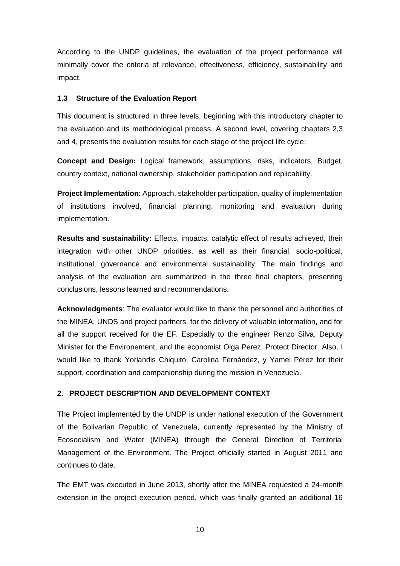According to the UNDP guidelines, the evaluation of the project performance will minimally cover the criteria of relevance, effectiveness, efficiency, sustainability and impact.

#### <span id="page-9-0"></span>**1.3 Structure of the Evaluation Report**

This document is structured in three levels, beginning with this introductory chapter to the evaluation and its methodological process. A second level, covering chapters 2,3 and 4, presents the evaluation results for each stage of the project life cycle:

**Concept and Design:** Logical framework, assumptions, risks, indicators, Budget, country context, national ownership, stakeholder participation and replicability.

**Project Implementation**: Approach, stakeholder participation, quality of implementation of institutions involved, financial planning, monitoring and evaluation during implementation.

**Results and sustainability:** Effects, impacts, catalytic effect of results achieved, their integration with other UNDP priorities, as well as their financial, socio-political, institutional, governance and environmental sustainability. The main findings and analysis of the evaluation are summarized in the three final chapters, presenting conclusions, lessons learned and recommendations.

**Acknowledgments**: The evaluator would like to thank the personnel and authorities of the MINEA, UNDS and project partners, for the delivery of valuable information, and for all the support received for the EF. Especially to the engineer Renzo Silva, Deputy Minister for the Environement, and the economist Olga Perez, Protect Director. Also, I would like to thank Yorlandis Chiquito, Carolina Fernández, y Yamel Pérez for their support, coordination and companionship during the mission in Venezuela.

#### <span id="page-9-1"></span>**2. PROJECT DESCRIPTION AND DEVELOPMENT CONTEXT**

The Project implemented by the UNDP is under national execution of the Government of the Bolivarian Republic of Venezuela, currently represented by the Ministry of Ecosocialism and Water (MINEA) through the General Direction of Territorial Management of the Environment. The Project officially started in August 2011 and continues to date.

The EMT was executed in June 2013, shortly after the MINEA requested a 24-month extension in the project execution period, which was finally granted an additional 16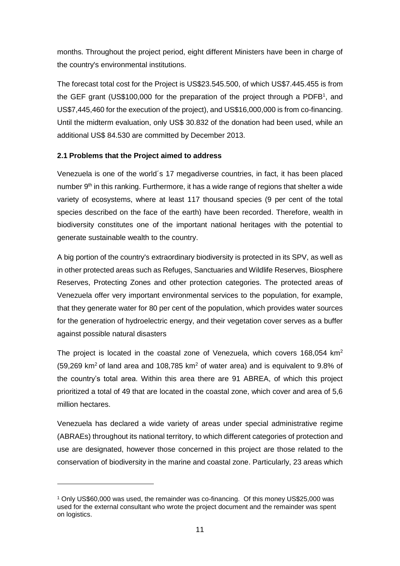months. Throughout the project period, eight different Ministers have been in charge of the country's environmental institutions.

The forecast total cost for the Project is US\$23.545.500, of which US\$7.445.455 is from the GEF grant (US\$100,000 for the preparation of the project through a PDFB<sup>1</sup>, and US\$7,445,460 for the execution of the project), and US\$16,000,000 is from co-financing. Until the midterm evaluation, only US\$ 30.832 of the donation had been used, while an additional US\$ 84.530 are committed by December 2013.

#### <span id="page-10-0"></span>**2.1 Problems that the Project aimed to address**

Venezuela is one of the world´s 17 megadiverse countries, in fact, it has been placed number  $9<sup>th</sup>$  in this ranking. Furthermore, it has a wide range of regions that shelter a wide variety of ecosystems, where at least 117 thousand species (9 per cent of the total species described on the face of the earth) have been recorded. Therefore, wealth in biodiversity constitutes one of the important national heritages with the potential to generate sustainable wealth to the country.

A big portion of the country's extraordinary biodiversity is protected in its SPV, as well as in other protected areas such as Refuges, Sanctuaries and Wildlife Reserves, Biosphere Reserves, Protecting Zones and other protection categories. The protected areas of Venezuela offer very important environmental services to the population, for example, that they generate water for 80 per cent of the population, which provides water sources for the generation of hydroelectric energy, and their vegetation cover serves as a buffer against possible natural disasters

The project is located in the coastal zone of Venezuela, which covers 168,054 km<sup>2</sup> (59,269 km<sup>2</sup> of land area and 108,785 km<sup>2</sup> of water area) and is equivalent to 9.8% of the country's total area. Within this area there are 91 ABREA, of which this project prioritized a total of 49 that are located in the coastal zone, which cover and area of 5,6 million hectares.

Venezuela has declared a wide variety of areas under special administrative regime (ABRAEs) throughout its national territory, to which different categories of protection and use are designated, however those concerned in this project are those related to the conservation of biodiversity in the marine and coastal zone. Particularly, 23 areas which

-

<sup>1</sup> Only US\$60,000 was used, the remainder was co-financing. Of this money US\$25,000 was used for the external consultant who wrote the project document and the remainder was spent on logistics.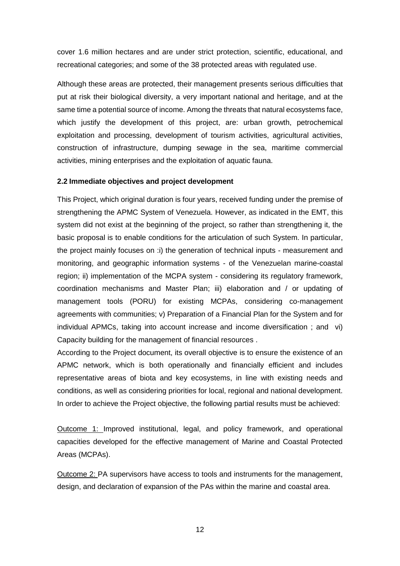cover 1.6 million hectares and are under strict protection, scientific, educational, and recreational categories; and some of the 38 protected areas with regulated use.

Although these areas are protected, their management presents serious difficulties that put at risk their biological diversity, a very important national and heritage, and at the same time a potential source of income. Among the threats that natural ecosystems face, which justify the development of this project, are: urban growth, petrochemical exploitation and processing, development of tourism activities, agricultural activities, construction of infrastructure, dumping sewage in the sea, maritime commercial activities, mining enterprises and the exploitation of aquatic fauna.

#### <span id="page-11-0"></span>**2.2 Immediate objectives and project development**

This Project, which original duration is four years, received funding under the premise of strengthening the APMC System of Venezuela. However, as indicated in the EMT, this system did not exist at the beginning of the project, so rather than strengthening it, the basic proposal is to enable conditions for the articulation of such System. In particular, the project mainly focuses on :i) the generation of technical inputs - measurement and monitoring, and geographic information systems - of the Venezuelan marine-coastal region; ii) implementation of the MCPA system - considering its regulatory framework, coordination mechanisms and Master Plan; iii) elaboration and / or updating of management tools (PORU) for existing MCPAs, considering co-management agreements with communities; v) Preparation of a Financial Plan for the System and for individual APMCs, taking into account increase and income diversification ; and vi) Capacity building for the management of financial resources .

According to the Project document, its overall objective is to ensure the existence of an APMC network, which is both operationally and financially efficient and includes representative areas of biota and key ecosystems, in line with existing needs and conditions, as well as considering priorities for local, regional and national development. In order to achieve the Project objective, the following partial results must be achieved:

Outcome 1: Improved institutional, legal, and policy framework, and operational capacities developed for the effective management of Marine and Coastal Protected Areas (MCPAs).

Outcome 2: PA supervisors have access to tools and instruments for the management, design, and declaration of expansion of the PAs within the marine and coastal area.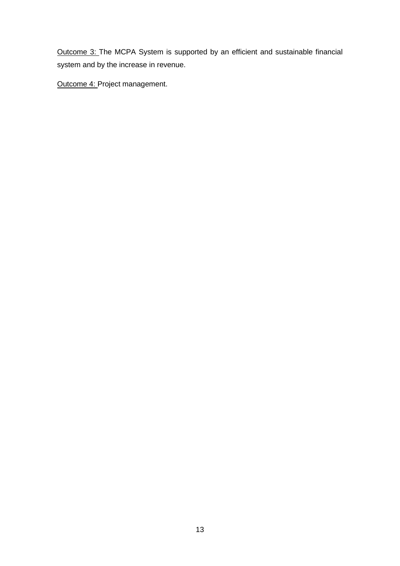Outcome 3: The MCPA System is supported by an efficient and sustainable financial system and by the increase in revenue.

Outcome 4: Project management.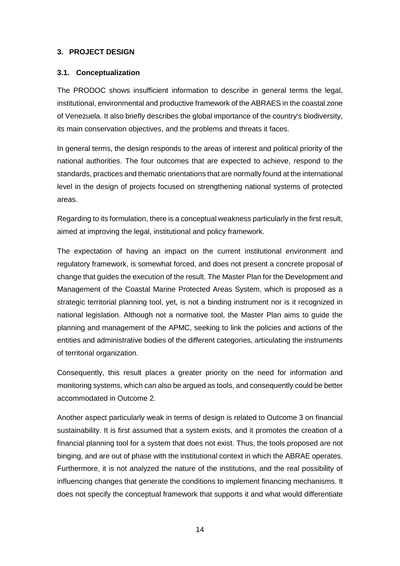#### <span id="page-13-0"></span>**3. PROJECT DESIGN**

#### <span id="page-13-1"></span>**3.1. Conceptualization**

The PRODOC shows insufficient information to describe in general terms the legal, institutional, environmental and productive framework of the ABRAES in the coastal zone of Venezuela. It also briefly describes the global importance of the country's biodiversity, its main conservation objectives, and the problems and threats it faces.

In general terms, the design responds to the areas of interest and political priority of the national authorities. The four outcomes that are expected to achieve, respond to the standards, practices and thematic orientations that are normally found at the international level in the design of projects focused on strengthening national systems of protected areas.

Regarding to its formulation, there is a conceptual weakness particularly in the first result, aimed at improving the legal, institutional and policy framework.

The expectation of having an impact on the current institutional environment and regulatory framework, is somewhat forced, and does not present a concrete proposal of change that guides the execution of the result. The Master Plan for the Development and Management of the Coastal Marine Protected Areas System, which is proposed as a strategic territorial planning tool, yet, is not a binding instrument nor is it recognized in national legislation. Although not a normative tool, the Master Plan aims to guide the planning and management of the APMC, seeking to link the policies and actions of the entities and administrative bodies of the different categories, articulating the instruments of territorial organization.

Consequently, this result places a greater priority on the need for information and monitoring systems, which can also be argued as tools, and consequently could be better accommodated in Outcome 2.

Another aspect particularly weak in terms of design is related to Outcome 3 on financial sustainability. It is first assumed that a system exists, and it promotes the creation of a financial planning tool for a system that does not exist. Thus, the tools proposed are not binging, and are out of phase with the institutional context in which the ABRAE operates. Furthermore, it is not analyzed the nature of the institutions, and the real possibility of influencing changes that generate the conditions to implement financing mechanisms. It does not specify the conceptual framework that supports it and what would differentiate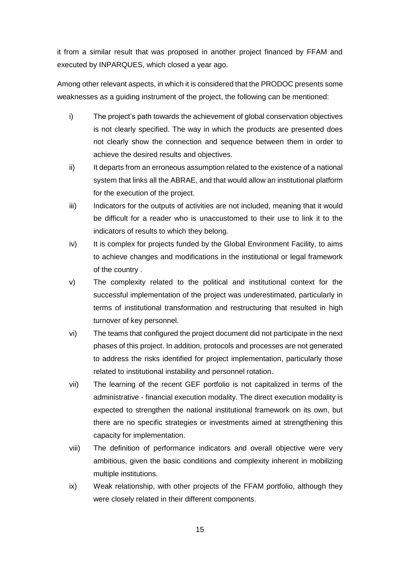it from a similar result that was proposed in another project financed by FFAM and executed by INPARQUES, which closed a year ago.

Among other relevant aspects, in which it is considered that the PRODOC presents some weaknesses as a guiding instrument of the project, the following can be mentioned:

- i) The project's path towards the achievement of global conservation objectives is not clearly specified. The way in which the products are presented does not clearly show the connection and sequence between them in order to achieve the desired results and objectives.
- ii) It departs from an erroneous assumption related to the existence of a national system that links all the ABRAE, and that would allow an institutional platform for the execution of the project.
- iii) Indicators for the outputs of activities are not included, meaning that it would be difficult for a reader who is unaccustomed to their use to link it to the indicators of results to which they belong.
- iv) It is complex for projects funded by the Global Environment Facility, to aims to achieve changes and modifications in the institutional or legal framework of the country .
- v) The complexity related to the political and institutional context for the successful implementation of the project was underestimated, particularly in terms of institutional transformation and restructuring that resulted in high turnover of key personnel.
- vi) The teams that configured the project document did not participate in the next phases of this project. In addition, protocols and processes are not generated to address the risks identified for project implementation, particularly those related to institutional instability and personnel rotation.
- vii) The learning of the recent GEF portfolio is not capitalized in terms of the administrative - financial execution modality. The direct execution modality is expected to strengthen the national institutional framework on its own, but there are no specific strategies or investments aimed at strengthening this capacity for implementation.
- viii) The definition of performance indicators and overall objective were very ambitious, given the basic conditions and complexity inherent in mobilizing multiple institutions.
- ix) Weak relationship, with other projects of the FFAM portfolio, although they were closely related in their different components.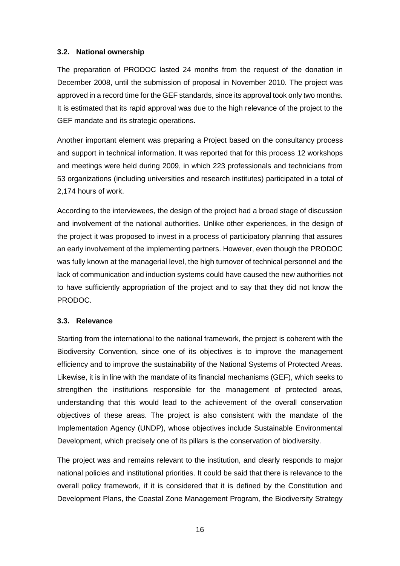#### <span id="page-15-0"></span>**3.2. National ownership**

The preparation of PRODOC lasted 24 months from the request of the donation in December 2008, until the submission of proposal in November 2010. The project was approved in a record time for the GEF standards, since its approval took only two months. It is estimated that its rapid approval was due to the high relevance of the project to the GEF mandate and its strategic operations.

Another important element was preparing a Project based on the consultancy process and support in technical information. It was reported that for this process 12 workshops and meetings were held during 2009, in which 223 professionals and technicians from 53 organizations (including universities and research institutes) participated in a total of 2,174 hours of work.

According to the interviewees, the design of the project had a broad stage of discussion and involvement of the national authorities. Unlike other experiences, in the design of the project it was proposed to invest in a process of participatory planning that assures an early involvement of the implementing partners. However, even though the PRODOC was fully known at the managerial level, the high turnover of technical personnel and the lack of communication and induction systems could have caused the new authorities not to have sufficiently appropriation of the project and to say that they did not know the PRODOC.

#### <span id="page-15-1"></span>**3.3. Relevance**

Starting from the international to the national framework, the project is coherent with the Biodiversity Convention, since one of its objectives is to improve the management efficiency and to improve the sustainability of the National Systems of Protected Areas. Likewise, it is in line with the mandate of its financial mechanisms (GEF), which seeks to strengthen the institutions responsible for the management of protected areas, understanding that this would lead to the achievement of the overall conservation objectives of these areas. The project is also consistent with the mandate of the Implementation Agency (UNDP), whose objectives include Sustainable Environmental Development, which precisely one of its pillars is the conservation of biodiversity.

The project was and remains relevant to the institution, and clearly responds to major national policies and institutional priorities. It could be said that there is relevance to the overall policy framework, if it is considered that it is defined by the Constitution and Development Plans, the Coastal Zone Management Program, the Biodiversity Strategy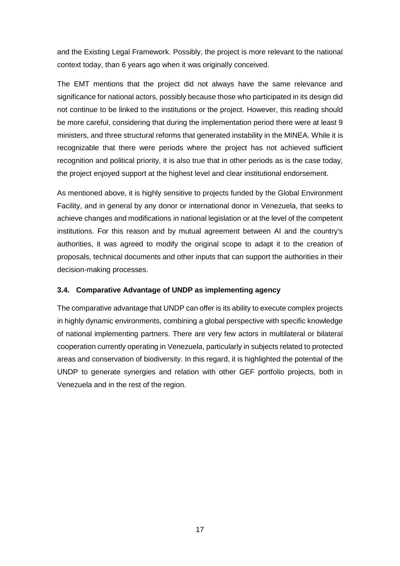and the Existing Legal Framework. Possibly, the project is more relevant to the national context today, than 6 years ago when it was originally conceived.

The EMT mentions that the project did not always have the same relevance and significance for national actors, possibly because those who participated in its design did not continue to be linked to the institutions or the project. However, this reading should be more careful, considering that during the implementation period there were at least 9 ministers, and three structural reforms that generated instability in the MINEA. While it is recognizable that there were periods where the project has not achieved sufficient recognition and political priority, it is also true that in other periods as is the case today, the project enjoyed support at the highest level and clear institutional endorsement.

As mentioned above, it is highly sensitive to projects funded by the Global Environment Facility, and in general by any donor or international donor in Venezuela, that seeks to achieve changes and modifications in national legislation or at the level of the competent institutions. For this reason and by mutual agreement between AI and the country's authorities, it was agreed to modify the original scope to adapt it to the creation of proposals, technical documents and other inputs that can support the authorities in their decision-making processes.

#### <span id="page-16-0"></span>**3.4. Comparative Advantage of UNDP as implementing agency**

The comparative advantage that UNDP can offer is its ability to execute complex projects in highly dynamic environments, combining a global perspective with specific knowledge of national implementing partners. There are very few actors in multilateral or bilateral cooperation currently operating in Venezuela, particularly in subjects related to protected areas and conservation of biodiversity. In this regard, it is highlighted the potential of the UNDP to generate synergies and relation with other GEF portfolio projects, both in Venezuela and in the rest of the region.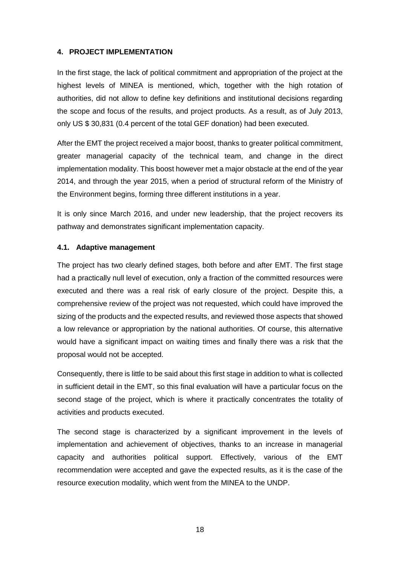#### <span id="page-17-0"></span>**4. PROJECT IMPLEMENTATION**

In the first stage, the lack of political commitment and appropriation of the project at the highest levels of MINEA is mentioned, which, together with the high rotation of authorities, did not allow to define key definitions and institutional decisions regarding the scope and focus of the results, and project products. As a result, as of July 2013, only US \$ 30,831 (0.4 percent of the total GEF donation) had been executed.

After the EMT the project received a major boost, thanks to greater political commitment, greater managerial capacity of the technical team, and change in the direct implementation modality. This boost however met a major obstacle at the end of the year 2014, and through the year 2015, when a period of structural reform of the Ministry of the Environment begins, forming three different institutions in a year.

It is only since March 2016, and under new leadership, that the project recovers its pathway and demonstrates significant implementation capacity.

#### <span id="page-17-1"></span>**4.1. Adaptive management**

The project has two clearly defined stages, both before and after EMT. The first stage had a practically null level of execution, only a fraction of the committed resources were executed and there was a real risk of early closure of the project. Despite this, a comprehensive review of the project was not requested, which could have improved the sizing of the products and the expected results, and reviewed those aspects that showed a low relevance or appropriation by the national authorities. Of course, this alternative would have a significant impact on waiting times and finally there was a risk that the proposal would not be accepted.

Consequently, there is little to be said about this first stage in addition to what is collected in sufficient detail in the EMT, so this final evaluation will have a particular focus on the second stage of the project, which is where it practically concentrates the totality of activities and products executed.

The second stage is characterized by a significant improvement in the levels of implementation and achievement of objectives, thanks to an increase in managerial capacity and authorities political support. Effectively, various of the EMT recommendation were accepted and gave the expected results, as it is the case of the resource execution modality, which went from the MINEA to the UNDP.

18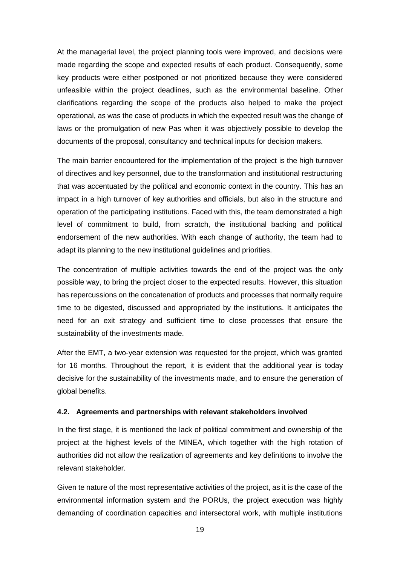At the managerial level, the project planning tools were improved, and decisions were made regarding the scope and expected results of each product. Consequently, some key products were either postponed or not prioritized because they were considered unfeasible within the project deadlines, such as the environmental baseline. Other clarifications regarding the scope of the products also helped to make the project operational, as was the case of products in which the expected result was the change of laws or the promulgation of new Pas when it was objectively possible to develop the documents of the proposal, consultancy and technical inputs for decision makers.

The main barrier encountered for the implementation of the project is the high turnover of directives and key personnel, due to the transformation and institutional restructuring that was accentuated by the political and economic context in the country. This has an impact in a high turnover of key authorities and officials, but also in the structure and operation of the participating institutions. Faced with this, the team demonstrated a high level of commitment to build, from scratch, the institutional backing and political endorsement of the new authorities. With each change of authority, the team had to adapt its planning to the new institutional guidelines and priorities.

The concentration of multiple activities towards the end of the project was the only possible way, to bring the project closer to the expected results. However, this situation has repercussions on the concatenation of products and processes that normally require time to be digested, discussed and appropriated by the institutions. It anticipates the need for an exit strategy and sufficient time to close processes that ensure the sustainability of the investments made.

After the EMT, a two-year extension was requested for the project, which was granted for 16 months. Throughout the report, it is evident that the additional year is today decisive for the sustainability of the investments made, and to ensure the generation of global benefits.

#### <span id="page-18-0"></span>**4.2. Agreements and partnerships with relevant stakeholders involved**

In the first stage, it is mentioned the lack of political commitment and ownership of the project at the highest levels of the MINEA, which together with the high rotation of authorities did not allow the realization of agreements and key definitions to involve the relevant stakeholder.

Given te nature of the most representative activities of the project, as it is the case of the environmental information system and the PORUs, the project execution was highly demanding of coordination capacities and intersectoral work, with multiple institutions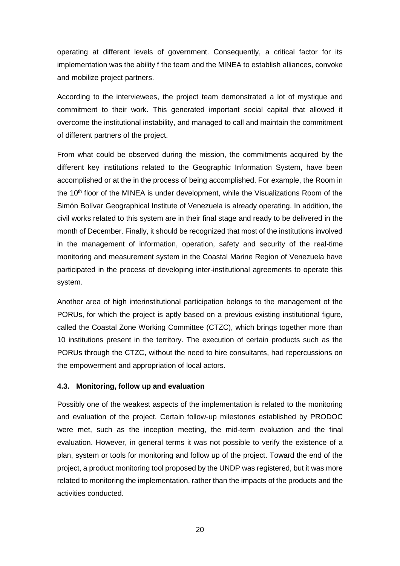operating at different levels of government. Consequently, a critical factor for its implementation was the ability f the team and the MINEA to establish alliances, convoke and mobilize project partners.

According to the interviewees, the project team demonstrated a lot of mystique and commitment to their work. This generated important social capital that allowed it overcome the institutional instability, and managed to call and maintain the commitment of different partners of the project.

From what could be observed during the mission, the commitments acquired by the different key institutions related to the Geographic Information System, have been accomplished or at the in the process of being accomplished. For example, the Room in the 10<sup>th</sup> floor of the MINEA is under development, while the Visualizations Room of the Simón Bolívar Geographical Institute of Venezuela is already operating. In addition, the civil works related to this system are in their final stage and ready to be delivered in the month of December. Finally, it should be recognized that most of the institutions involved in the management of information, operation, safety and security of the real-time monitoring and measurement system in the Coastal Marine Region of Venezuela have participated in the process of developing inter-institutional agreements to operate this system.

Another area of high interinstitutional participation belongs to the management of the PORUs, for which the project is aptly based on a previous existing institutional figure, called the Coastal Zone Working Committee (CTZC), which brings together more than 10 institutions present in the territory. The execution of certain products such as the PORUs through the CTZC, without the need to hire consultants, had repercussions on the empowerment and appropriation of local actors.

#### <span id="page-19-0"></span>**4.3. Monitoring, follow up and evaluation**

Possibly one of the weakest aspects of the implementation is related to the monitoring and evaluation of the project. Certain follow-up milestones established by PRODOC were met, such as the inception meeting, the mid-term evaluation and the final evaluation. However, in general terms it was not possible to verify the existence of a plan, system or tools for monitoring and follow up of the project. Toward the end of the project, a product monitoring tool proposed by the UNDP was registered, but it was more related to monitoring the implementation, rather than the impacts of the products and the activities conducted.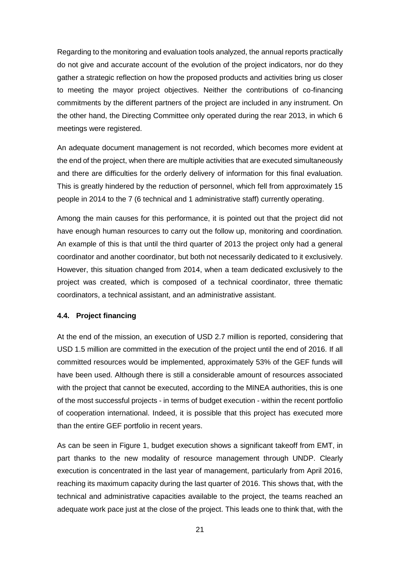Regarding to the monitoring and evaluation tools analyzed, the annual reports practically do not give and accurate account of the evolution of the project indicators, nor do they gather a strategic reflection on how the proposed products and activities bring us closer to meeting the mayor project objectives. Neither the contributions of co-financing commitments by the different partners of the project are included in any instrument. On the other hand, the Directing Committee only operated during the rear 2013, in which 6 meetings were registered.

An adequate document management is not recorded, which becomes more evident at the end of the project, when there are multiple activities that are executed simultaneously and there are difficulties for the orderly delivery of information for this final evaluation. This is greatly hindered by the reduction of personnel, which fell from approximately 15 people in 2014 to the 7 (6 technical and 1 administrative staff) currently operating.

Among the main causes for this performance, it is pointed out that the project did not have enough human resources to carry out the follow up, monitoring and coordination. An example of this is that until the third quarter of 2013 the project only had a general coordinator and another coordinator, but both not necessarily dedicated to it exclusively. However, this situation changed from 2014, when a team dedicated exclusively to the project was created, which is composed of a technical coordinator, three thematic coordinators, a technical assistant, and an administrative assistant.

#### <span id="page-20-0"></span>**4.4. Project financing**

At the end of the mission, an execution of USD 2.7 million is reported, considering that USD 1.5 million are committed in the execution of the project until the end of 2016. If all committed resources would be implemented, approximately 53% of the GEF funds will have been used. Although there is still a considerable amount of resources associated with the project that cannot be executed, according to the MINEA authorities, this is one of the most successful projects - in terms of budget execution - within the recent portfolio of cooperation international. Indeed, it is possible that this project has executed more than the entire GEF portfolio in recent years.

As can be seen in Figure 1, budget execution shows a significant takeoff from EMT, in part thanks to the new modality of resource management through UNDP. Clearly execution is concentrated in the last year of management, particularly from April 2016, reaching its maximum capacity during the last quarter of 2016. This shows that, with the technical and administrative capacities available to the project, the teams reached an adequate work pace just at the close of the project. This leads one to think that, with the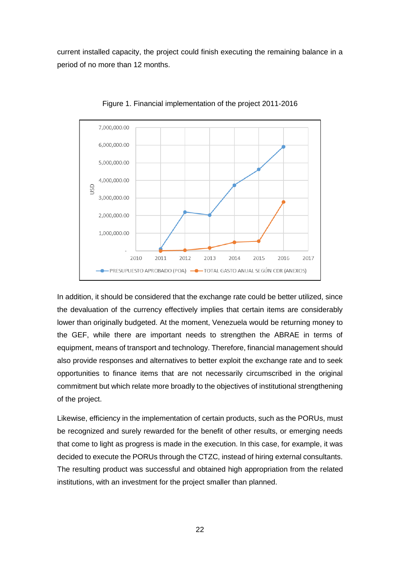current installed capacity, the project could finish executing the remaining balance in a period of no more than 12 months.



Figure 1. Financial implementation of the project 2011-2016

In addition, it should be considered that the exchange rate could be better utilized, since the devaluation of the currency effectively implies that certain items are considerably lower than originally budgeted. At the moment, Venezuela would be returning money to the GEF, while there are important needs to strengthen the ABRAE in terms of equipment, means of transport and technology. Therefore, financial management should also provide responses and alternatives to better exploit the exchange rate and to seek opportunities to finance items that are not necessarily circumscribed in the original commitment but which relate more broadly to the objectives of institutional strengthening of the project.

Likewise, efficiency in the implementation of certain products, such as the PORUs, must be recognized and surely rewarded for the benefit of other results, or emerging needs that come to light as progress is made in the execution. In this case, for example, it was decided to execute the PORUs through the CTZC, instead of hiring external consultants. The resulting product was successful and obtained high appropriation from the related institutions, with an investment for the project smaller than planned.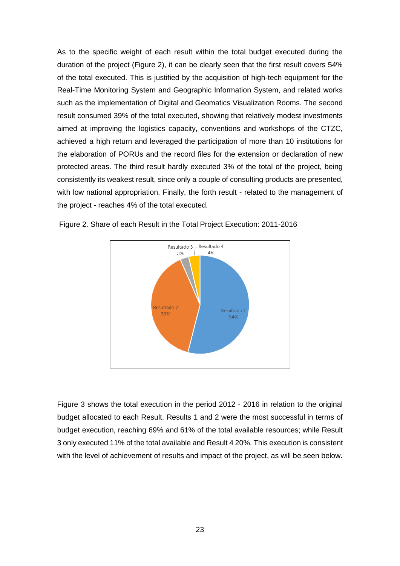As to the specific weight of each result within the total budget executed during the duration of the project (Figure 2), it can be clearly seen that the first result covers 54% of the total executed. This is justified by the acquisition of high-tech equipment for the Real-Time Monitoring System and Geographic Information System, and related works such as the implementation of Digital and Geomatics Visualization Rooms. The second result consumed 39% of the total executed, showing that relatively modest investments aimed at improving the logistics capacity, conventions and workshops of the CTZC, achieved a high return and leveraged the participation of more than 10 institutions for the elaboration of PORUs and the record files for the extension or declaration of new protected areas. The third result hardly executed 3% of the total of the project, being consistently its weakest result, since only a couple of consulting products are presented, with low national appropriation. Finally, the forth result - related to the management of the project - reaches 4% of the total executed.



Figure 2. Share of each Result in the Total Project Execution: 2011-2016

Figure 3 shows the total execution in the period 2012 - 2016 in relation to the original budget allocated to each Result. Results 1 and 2 were the most successful in terms of budget execution, reaching 69% and 61% of the total available resources; while Result 3 only executed 11% of the total available and Result 4 20%. This execution is consistent with the level of achievement of results and impact of the project, as will be seen below.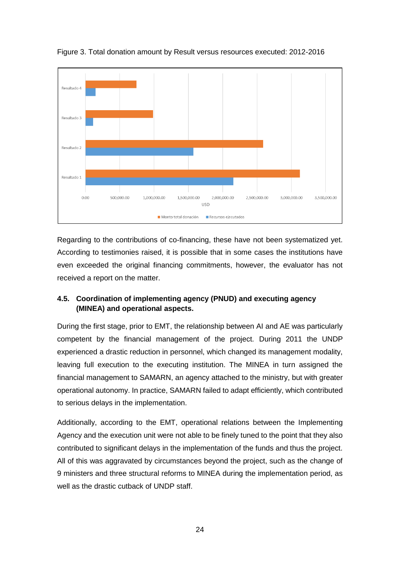

Figure 3. Total donation amount by Result versus resources executed: 2012-2016

Regarding to the contributions of co-financing, these have not been systematized yet. According to testimonies raised, it is possible that in some cases the institutions have even exceeded the original financing commitments, however, the evaluator has not received a report on the matter.

#### <span id="page-23-0"></span>**4.5. Coordination of implementing agency (PNUD) and executing agency (MINEA) and operational aspects.**

During the first stage, prior to EMT, the relationship between AI and AE was particularly competent by the financial management of the project. During 2011 the UNDP experienced a drastic reduction in personnel, which changed its management modality, leaving full execution to the executing institution. The MINEA in turn assigned the financial management to SAMARN, an agency attached to the ministry, but with greater operational autonomy. In practice, SAMARN failed to adapt efficiently, which contributed to serious delays in the implementation.

Additionally, according to the EMT, operational relations between the Implementing Agency and the execution unit were not able to be finely tuned to the point that they also contributed to significant delays in the implementation of the funds and thus the project. All of this was aggravated by circumstances beyond the project, such as the change of 9 ministers and three structural reforms to MINEA during the implementation period, as well as the drastic cutback of UNDP staff.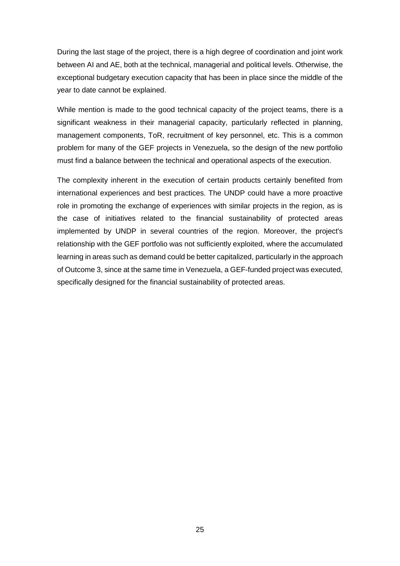During the last stage of the project, there is a high degree of coordination and joint work between AI and AE, both at the technical, managerial and political levels. Otherwise, the exceptional budgetary execution capacity that has been in place since the middle of the year to date cannot be explained.

While mention is made to the good technical capacity of the project teams, there is a significant weakness in their managerial capacity, particularly reflected in planning, management components, ToR, recruitment of key personnel, etc. This is a common problem for many of the GEF projects in Venezuela, so the design of the new portfolio must find a balance between the technical and operational aspects of the execution.

The complexity inherent in the execution of certain products certainly benefited from international experiences and best practices. The UNDP could have a more proactive role in promoting the exchange of experiences with similar projects in the region, as is the case of initiatives related to the financial sustainability of protected areas implemented by UNDP in several countries of the region. Moreover, the project's relationship with the GEF portfolio was not sufficiently exploited, where the accumulated learning in areas such as demand could be better capitalized, particularly in the approach of Outcome 3, since at the same time in Venezuela, a GEF-funded project was executed, specifically designed for the financial sustainability of protected areas.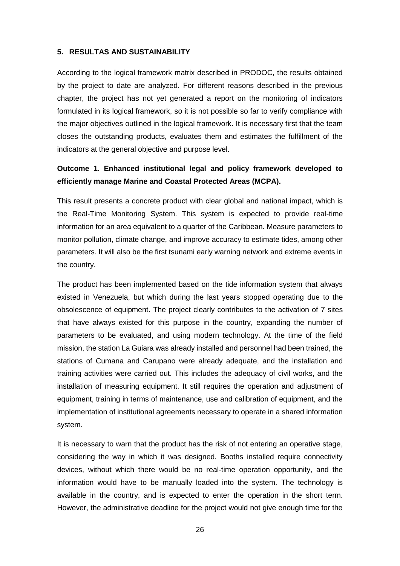#### <span id="page-25-0"></span>**5. RESULTAS AND SUSTAINABILITY**

According to the logical framework matrix described in PRODOC, the results obtained by the project to date are analyzed. For different reasons described in the previous chapter, the project has not yet generated a report on the monitoring of indicators formulated in its logical framework, so it is not possible so far to verify compliance with the major objectives outlined in the logical framework. It is necessary first that the team closes the outstanding products, evaluates them and estimates the fulfillment of the indicators at the general objective and purpose level.

### **Outcome 1. Enhanced institutional legal and policy framework developed to efficiently manage Marine and Coastal Protected Areas (MCPA).**

This result presents a concrete product with clear global and national impact, which is the Real-Time Monitoring System. This system is expected to provide real-time information for an area equivalent to a quarter of the Caribbean. Measure parameters to monitor pollution, climate change, and improve accuracy to estimate tides, among other parameters. It will also be the first tsunami early warning network and extreme events in the country.

The product has been implemented based on the tide information system that always existed in Venezuela, but which during the last years stopped operating due to the obsolescence of equipment. The project clearly contributes to the activation of 7 sites that have always existed for this purpose in the country, expanding the number of parameters to be evaluated, and using modern technology. At the time of the field mission, the station La Guiara was already installed and personnel had been trained, the stations of Cumana and Carupano were already adequate, and the installation and training activities were carried out. This includes the adequacy of civil works, and the installation of measuring equipment. It still requires the operation and adjustment of equipment, training in terms of maintenance, use and calibration of equipment, and the implementation of institutional agreements necessary to operate in a shared information system.

It is necessary to warn that the product has the risk of not entering an operative stage, considering the way in which it was designed. Booths installed require connectivity devices, without which there would be no real-time operation opportunity, and the information would have to be manually loaded into the system. The technology is available in the country, and is expected to enter the operation in the short term. However, the administrative deadline for the project would not give enough time for the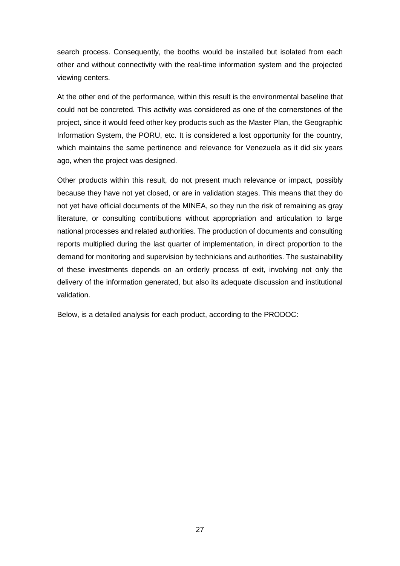search process. Consequently, the booths would be installed but isolated from each other and without connectivity with the real-time information system and the projected viewing centers.

At the other end of the performance, within this result is the environmental baseline that could not be concreted. This activity was considered as one of the cornerstones of the project, since it would feed other key products such as the Master Plan, the Geographic Information System, the PORU, etc. It is considered a lost opportunity for the country, which maintains the same pertinence and relevance for Venezuela as it did six years ago, when the project was designed.

Other products within this result, do not present much relevance or impact, possibly because they have not yet closed, or are in validation stages. This means that they do not yet have official documents of the MINEA, so they run the risk of remaining as gray literature, or consulting contributions without appropriation and articulation to large national processes and related authorities. The production of documents and consulting reports multiplied during the last quarter of implementation, in direct proportion to the demand for monitoring and supervision by technicians and authorities. The sustainability of these investments depends on an orderly process of exit, involving not only the delivery of the information generated, but also its adequate discussion and institutional validation.

Below, is a detailed analysis for each product, according to the PRODOC: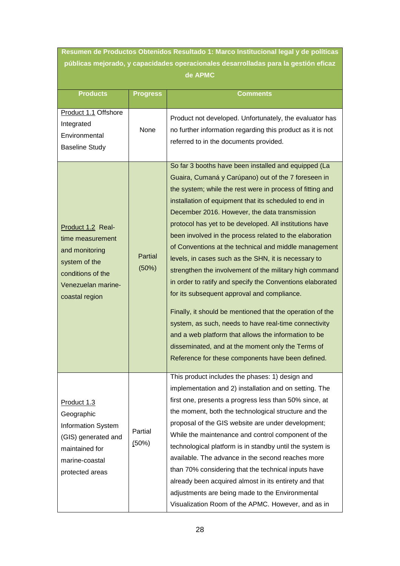**Resumen de Productos Obtenidos Resultado 1: Marco Institucional legal y de políticas públicas mejorado, y capacidades operacionales desarrolladas para la gestión eficaz de APMC**

| <b>Products</b>                                                                                                                       | <b>Progress</b>  | <b>Comments</b>                                                                                                                                                                                                                                                                                                                                                                                                                                                                                                                                                                                                                                                                                                                                                                                                                                                                                                                                                                           |
|---------------------------------------------------------------------------------------------------------------------------------------|------------------|-------------------------------------------------------------------------------------------------------------------------------------------------------------------------------------------------------------------------------------------------------------------------------------------------------------------------------------------------------------------------------------------------------------------------------------------------------------------------------------------------------------------------------------------------------------------------------------------------------------------------------------------------------------------------------------------------------------------------------------------------------------------------------------------------------------------------------------------------------------------------------------------------------------------------------------------------------------------------------------------|
| Product 1.1 Offshore<br>Integrated<br>Environmental<br><b>Baseline Study</b>                                                          | None             | Product not developed. Unfortunately, the evaluator has<br>no further information regarding this product as it is not<br>referred to in the documents provided.                                                                                                                                                                                                                                                                                                                                                                                                                                                                                                                                                                                                                                                                                                                                                                                                                           |
| Product 1.2 Real-<br>time measurement<br>and monitoring<br>system of the<br>conditions of the<br>Venezuelan marine-<br>coastal region | Partial<br>(50%) | So far 3 booths have been installed and equipped (La<br>Guaira, Cumaná y Carúpano) out of the 7 foreseen in<br>the system; while the rest were in process of fitting and<br>installation of equipment that its scheduled to end in<br>December 2016. However, the data transmission<br>protocol has yet to be developed. All institutions have<br>been involved in the process related to the elaboration<br>of Conventions at the technical and middle management<br>levels, in cases such as the SHN, it is necessary to<br>strengthen the involvement of the military high command<br>in order to ratify and specify the Conventions elaborated<br>for its subsequent approval and compliance.<br>Finally, it should be mentioned that the operation of the<br>system, as such, needs to have real-time connectivity<br>and a web platform that allows the information to be<br>disseminated, and at the moment only the Terms of<br>Reference for these components have been defined. |
| Product 1.3<br>Geographic<br>Information System<br>(GIS) generated and<br>maintained for<br>marine-coastal<br>protected areas         | Partial<br>(50%) | This product includes the phases: 1) design and<br>implementation and 2) installation and on setting. The<br>first one, presents a progress less than 50% since, at<br>the moment, both the technological structure and the<br>proposal of the GIS website are under development;<br>While the maintenance and control component of the<br>technological platform is in standby until the system is<br>available. The advance in the second reaches more<br>than 70% considering that the technical inputs have<br>already been acquired almost in its entirety and that<br>adjustments are being made to the Environmental<br>Visualization Room of the APMC. However, and as in                                                                                                                                                                                                                                                                                                         |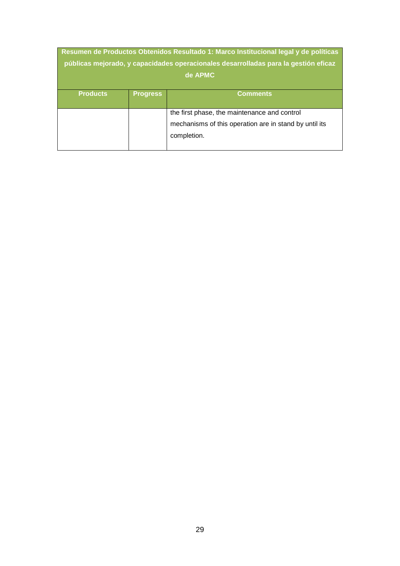| Resumen de Productos Obtenidos Resultado 1: Marco Institucional legal y de políticas<br>públicas mejorado, y capacidades operacionales desarrolladas para la gestión eficaz<br>de APMC |                 |                                                                                                                       |
|----------------------------------------------------------------------------------------------------------------------------------------------------------------------------------------|-----------------|-----------------------------------------------------------------------------------------------------------------------|
| <b>Products</b>                                                                                                                                                                        | <b>Progress</b> | <b>Comments</b>                                                                                                       |
|                                                                                                                                                                                        |                 | the first phase, the maintenance and control<br>mechanisms of this operation are in stand by until its<br>completion. |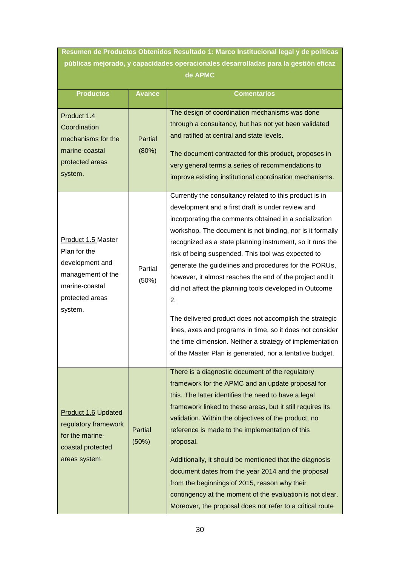**Resumen de Productos Obtenidos Resultado 1: Marco Institucional legal y de políticas públicas mejorado, y capacidades operacionales desarrolladas para la gestión eficaz de APMC**

| <b>Productos</b>                                                                                                           | <b>Avance</b>    | <b>Comentarios</b>                                                                                                                                                                                                                                                                                                                                                                                                                                                                                                                                                                                                                                                                                                                                                                          |
|----------------------------------------------------------------------------------------------------------------------------|------------------|---------------------------------------------------------------------------------------------------------------------------------------------------------------------------------------------------------------------------------------------------------------------------------------------------------------------------------------------------------------------------------------------------------------------------------------------------------------------------------------------------------------------------------------------------------------------------------------------------------------------------------------------------------------------------------------------------------------------------------------------------------------------------------------------|
|                                                                                                                            |                  |                                                                                                                                                                                                                                                                                                                                                                                                                                                                                                                                                                                                                                                                                                                                                                                             |
| Product 1.4<br>Coordination<br>mechanisms for the<br>marine-coastal<br>protected areas<br>system.                          | Partial<br>(80%) | The design of coordination mechanisms was done<br>through a consultancy, but has not yet been validated<br>and ratified at central and state levels.<br>The document contracted for this product, proposes in<br>very general terms a series of recommendations to<br>improve existing institutional coordination mechanisms.                                                                                                                                                                                                                                                                                                                                                                                                                                                               |
| Product 1.5 Master<br>Plan for the<br>development and<br>management of the<br>marine-coastal<br>protected areas<br>system. | Partial<br>(50%) | Currently the consultancy related to this product is in<br>development and a first draft is under review and<br>incorporating the comments obtained in a socialization<br>workshop. The document is not binding, nor is it formally<br>recognized as a state planning instrument, so it runs the<br>risk of being suspended. This tool was expected to<br>generate the guidelines and procedures for the PORUs,<br>however, it almost reaches the end of the project and it<br>did not affect the planning tools developed in Outcome<br>2.<br>The delivered product does not accomplish the strategic<br>lines, axes and programs in time, so it does not consider<br>the time dimension. Neither a strategy of implementation<br>of the Master Plan is generated, nor a tentative budget. |
| <b>Product 1.6 Updated</b><br>regulatory framework<br>for the marine-<br>coastal protected<br>areas system                 | Partial<br>(50%) | There is a diagnostic document of the regulatory<br>framework for the APMC and an update proposal for<br>this. The latter identifies the need to have a legal<br>framework linked to these areas, but it still requires its<br>validation. Within the objectives of the product, no<br>reference is made to the implementation of this<br>proposal.<br>Additionally, it should be mentioned that the diagnosis<br>document dates from the year 2014 and the proposal<br>from the beginnings of 2015, reason why their<br>contingency at the moment of the evaluation is not clear.<br>Moreover, the proposal does not refer to a critical route                                                                                                                                             |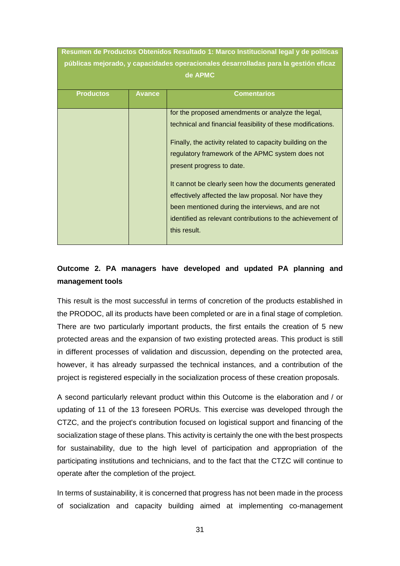| Resumen de Productos Obtenidos Resultado 1: Marco Institucional legal y de políticas |                                                                                     |                                                             |  |
|--------------------------------------------------------------------------------------|-------------------------------------------------------------------------------------|-------------------------------------------------------------|--|
|                                                                                      | públicas mejorado, y capacidades operacionales desarrolladas para la gestión eficaz |                                                             |  |
|                                                                                      |                                                                                     | de APMC                                                     |  |
|                                                                                      |                                                                                     |                                                             |  |
| <b>Productos</b>                                                                     | <b>Avance</b>                                                                       | <b>Comentarios</b>                                          |  |
|                                                                                      |                                                                                     |                                                             |  |
|                                                                                      |                                                                                     | for the proposed amendments or analyze the legal,           |  |
|                                                                                      |                                                                                     | technical and financial feasibility of these modifications. |  |
|                                                                                      |                                                                                     | Finally, the activity related to capacity building on the   |  |
|                                                                                      |                                                                                     | regulatory framework of the APMC system does not            |  |
|                                                                                      |                                                                                     | present progress to date.                                   |  |
|                                                                                      |                                                                                     | It cannot be clearly seen how the documents generated       |  |
|                                                                                      |                                                                                     | effectively affected the law proposal. Nor have they        |  |
|                                                                                      |                                                                                     | been mentioned during the interviews, and are not           |  |
|                                                                                      |                                                                                     | identified as relevant contributions to the achievement of  |  |
|                                                                                      |                                                                                     | this result.                                                |  |
|                                                                                      |                                                                                     |                                                             |  |

## **Outcome 2. PA managers have developed and updated PA planning and management tools**

This result is the most successful in terms of concretion of the products established in the PRODOC, all its products have been completed or are in a final stage of completion. There are two particularly important products, the first entails the creation of 5 new protected areas and the expansion of two existing protected areas. This product is still in different processes of validation and discussion, depending on the protected area, however, it has already surpassed the technical instances, and a contribution of the project is registered especially in the socialization process of these creation proposals.

A second particularly relevant product within this Outcome is the elaboration and / or updating of 11 of the 13 foreseen PORUs. This exercise was developed through the CTZC, and the project's contribution focused on logistical support and financing of the socialization stage of these plans. This activity is certainly the one with the best prospects for sustainability, due to the high level of participation and appropriation of the participating institutions and technicians, and to the fact that the CTZC will continue to operate after the completion of the project.

In terms of sustainability, it is concerned that progress has not been made in the process of socialization and capacity building aimed at implementing co-management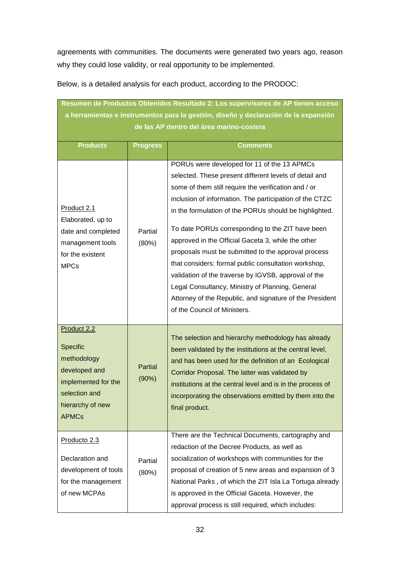agreements with communities. The documents were generated two years ago, reason why they could lose validity, or real opportunity to be implemented.

| Resumen de Productos Obtenidos Resultado 2: Los supervisores de AP tienen acceso<br>a herramientas e instrumentos para la gestión, diseño y declaración de la expansión<br>de las AP dentro del área marino-costera |                         |                                                                                                                                                                                                                                                                                                                                                                                                                                                                                                                                                                                                                                                                                                                     |  |
|---------------------------------------------------------------------------------------------------------------------------------------------------------------------------------------------------------------------|-------------------------|---------------------------------------------------------------------------------------------------------------------------------------------------------------------------------------------------------------------------------------------------------------------------------------------------------------------------------------------------------------------------------------------------------------------------------------------------------------------------------------------------------------------------------------------------------------------------------------------------------------------------------------------------------------------------------------------------------------------|--|
| <b>Products</b>                                                                                                                                                                                                     | <b>Progress</b>         | <b>Comments</b>                                                                                                                                                                                                                                                                                                                                                                                                                                                                                                                                                                                                                                                                                                     |  |
| Product 2.1<br>Elaborated, up to<br>date and completed<br>management tools<br>for the existent<br><b>MPCs</b>                                                                                                       | Partial<br>(80%)        | PORUs were developed for 11 of the 13 APMCs<br>selected. These present different levels of detail and<br>some of them still require the verification and / or<br>inclusion of information. The participation of the CTZC<br>in the formulation of the PORUs should be highlighted.<br>To date PORUs corresponding to the ZIT have been<br>approved in the Official Gaceta 3, while the other<br>proposals must be submitted to the approval process<br>that considers: formal public consultation workshop,<br>validation of the traverse by IGVSB, approval of the<br>Legal Consultancy, Ministry of Planning, General<br>Attorney of the Republic, and signature of the President<br>of the Council of Ministers. |  |
| Product 2.2<br>Specific<br>methodology<br>developed and<br>implemented for the<br>selection and<br>hierarchy of new<br><b>APMCs</b>                                                                                 | <b>Partial</b><br>(90%) | The selection and hierarchy methodology has already<br>been validated by the institutions at the central level,<br>and has been used for the definition of an Ecological<br>Corridor Proposal. The latter was validated by<br>institutions at the central level and is in the process of<br>incorporating the observations emitted by them into the<br>final product.                                                                                                                                                                                                                                                                                                                                               |  |
| Producto 2.3<br>Declaration and<br>development of tools<br>for the management<br>of new MCPAs                                                                                                                       | Partial<br>(80%)        | There are the Technical Documents, cartography and<br>redaction of the Decree Products, as well as<br>socialization of workshops with communities for the<br>proposal of creation of 5 new areas and expansion of 3<br>National Parks, of which the ZIT Isla La Tortuga already<br>is approved in the Official Gaceta. However, the<br>approval process is still required, which includes:                                                                                                                                                                                                                                                                                                                          |  |

Below, is a detailed analysis for each product, according to the PRODOC: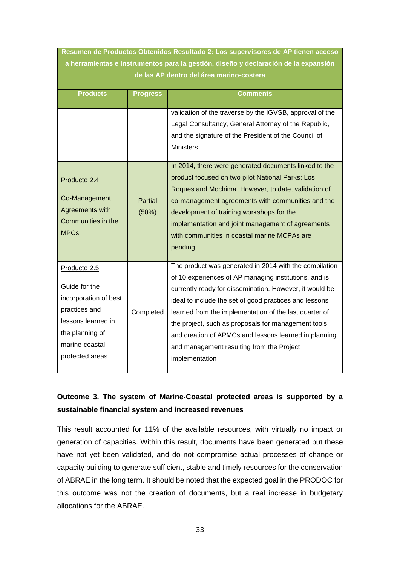| Resumen de Productos Obtenidos Resultado 2: Los supervisores de AP tienen acceso                                                                      |                                                                                                                                 |                                                                                                                                                                                                                                                                                                                                                                                                                                                                               |  |  |
|-------------------------------------------------------------------------------------------------------------------------------------------------------|---------------------------------------------------------------------------------------------------------------------------------|-------------------------------------------------------------------------------------------------------------------------------------------------------------------------------------------------------------------------------------------------------------------------------------------------------------------------------------------------------------------------------------------------------------------------------------------------------------------------------|--|--|
|                                                                                                                                                       | a herramientas e instrumentos para la gestión, diseño y declaración de la expansión<br>de las AP dentro del área marino-costera |                                                                                                                                                                                                                                                                                                                                                                                                                                                                               |  |  |
|                                                                                                                                                       |                                                                                                                                 |                                                                                                                                                                                                                                                                                                                                                                                                                                                                               |  |  |
| <b>Products</b>                                                                                                                                       | <b>Progress</b>                                                                                                                 | <b>Comments</b>                                                                                                                                                                                                                                                                                                                                                                                                                                                               |  |  |
|                                                                                                                                                       |                                                                                                                                 | validation of the traverse by the IGVSB, approval of the<br>Legal Consultancy, General Attorney of the Republic,<br>and the signature of the President of the Council of<br>Ministers.<br>In 2014, there were generated documents linked to the                                                                                                                                                                                                                               |  |  |
| Producto 2.4<br>Co-Management<br>Agreements with<br>Communities in the<br><b>MPCs</b>                                                                 | Partial<br>(50%)                                                                                                                | product focused on two pilot National Parks: Los<br>Roques and Mochima. However, to date, validation of<br>co-management agreements with communities and the<br>development of training workshops for the<br>implementation and joint management of agreements<br>with communities in coastal marine MCPAs are<br>pending.                                                                                                                                                    |  |  |
| Producto 2.5<br>Guide for the<br>incorporation of best<br>practices and<br>lessons learned in<br>the planning of<br>marine-coastal<br>protected areas | Completed                                                                                                                       | The product was generated in 2014 with the compilation<br>of 10 experiences of AP managing institutions, and is<br>currently ready for dissemination. However, it would be<br>ideal to include the set of good practices and lessons<br>learned from the implementation of the last quarter of<br>the project, such as proposals for management tools<br>and creation of APMCs and lessons learned in planning<br>and management resulting from the Project<br>implementation |  |  |

## **Outcome 3. The system of Marine-Coastal protected areas is supported by a sustainable financial system and increased revenues**

This result accounted for 11% of the available resources, with virtually no impact or generation of capacities. Within this result, documents have been generated but these have not yet been validated, and do not compromise actual processes of change or capacity building to generate sufficient, stable and timely resources for the conservation of ABRAE in the long term. It should be noted that the expected goal in the PRODOC for this outcome was not the creation of documents, but a real increase in budgetary allocations for the ABRAE.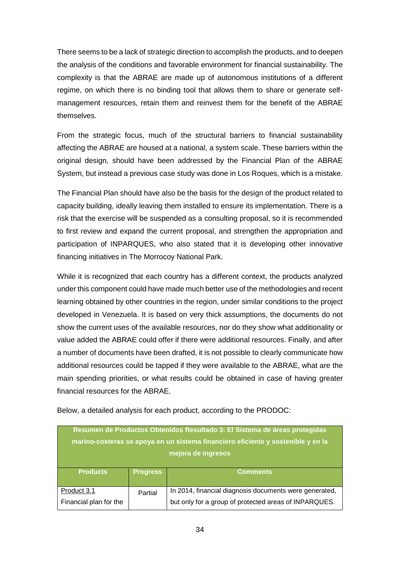There seems to be a lack of strategic direction to accomplish the products, and to deepen the analysis of the conditions and favorable environment for financial sustainability. The complexity is that the ABRAE are made up of autonomous institutions of a different regime, on which there is no binding tool that allows them to share or generate selfmanagement resources, retain them and reinvest them for the benefit of the ABRAE themselves.

From the strategic focus, much of the structural barriers to financial sustainability affecting the ABRAE are housed at a national, a system scale. These barriers within the original design, should have been addressed by the Financial Plan of the ABRAE System, but instead a previous case study was done in Los Roques, which is a mistake.

The Financial Plan should have also be the basis for the design of the product related to capacity building, ideally leaving them installed to ensure its implementation. There is a risk that the exercise will be suspended as a consulting proposal, so it is recommended to first review and expand the current proposal, and strengthen the appropriation and participation of INPARQUES, who also stated that it is developing other innovative financing initiatives in The Morrocoy National Park.

While it is recognized that each country has a different context, the products analyzed under this component could have made much better use of the methodologies and recent learning obtained by other countries in the region, under similar conditions to the project developed in Venezuela. It is based on very thick assumptions, the documents do not show the current uses of the available resources, nor do they show what additionality or value added the ABRAE could offer if there were additional resources. Finally, and after a number of documents have been drafted, it is not possible to clearly communicate how additional resources could be tapped if they were available to the ABRAE, what are the main spending priorities, or what results could be obtained in case of having greater financial resources for the ABRAE.

| Below, a detailed analysis for each product, according to the PRODOC: |
|-----------------------------------------------------------------------|
|-----------------------------------------------------------------------|

| Resumen de Productos Obtenidos Resultado 3: El Sistema de áreas protegidas       |                 |                                                        |  |  |
|----------------------------------------------------------------------------------|-----------------|--------------------------------------------------------|--|--|
| marino-costeras se apoya en un sistema financiero eficiente y sostenible y en la |                 |                                                        |  |  |
| mejora de ingresos                                                               |                 |                                                        |  |  |
|                                                                                  |                 |                                                        |  |  |
| <b>Products</b>                                                                  | <b>Progress</b> | <b>Comments</b>                                        |  |  |
|                                                                                  |                 |                                                        |  |  |
| Product 3.1                                                                      | Partial         | In 2014, financial diagnosis documents were generated, |  |  |
| Financial plan for the                                                           |                 | but only for a group of protected areas of INPARQUES.  |  |  |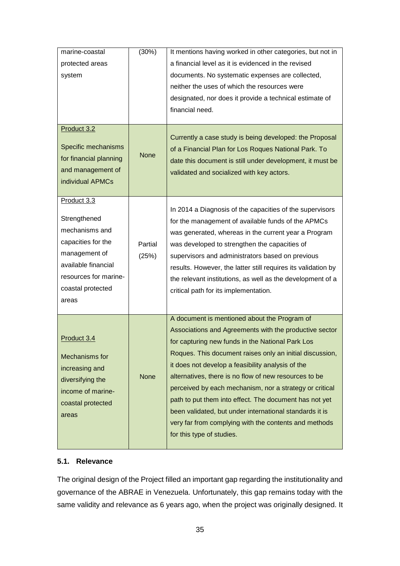| marine-coastal<br>protected areas<br>system<br>Product 3.2                                                                                                         | (30%)            | It mentions having worked in other categories, but not in<br>a financial level as it is evidenced in the revised<br>documents. No systematic expenses are collected,<br>neither the uses of which the resources were<br>designated, nor does it provide a technical estimate of<br>financial need.                                                                                                                                                                                                                                                                                                         |
|--------------------------------------------------------------------------------------------------------------------------------------------------------------------|------------------|------------------------------------------------------------------------------------------------------------------------------------------------------------------------------------------------------------------------------------------------------------------------------------------------------------------------------------------------------------------------------------------------------------------------------------------------------------------------------------------------------------------------------------------------------------------------------------------------------------|
| Specific mechanisms<br>for financial planning<br>and management of<br>individual APMCs                                                                             | <b>None</b>      | Currently a case study is being developed: the Proposal<br>of a Financial Plan for Los Roques National Park. To<br>date this document is still under development, it must be<br>validated and socialized with key actors.                                                                                                                                                                                                                                                                                                                                                                                  |
| Product 3.3<br>Strengthened<br>mechanisms and<br>capacities for the<br>management of<br>available financial<br>resources for marine-<br>coastal protected<br>areas | Partial<br>(25%) | In 2014 a Diagnosis of the capacities of the supervisors<br>for the management of available funds of the APMCs<br>was generated, whereas in the current year a Program<br>was developed to strengthen the capacities of<br>supervisors and administrators based on previous<br>results. However, the latter still requires its validation by<br>the relevant institutions, as well as the development of a<br>critical path for its implementation.                                                                                                                                                        |
| Product 3.4<br>Mechanisms for<br>increasing and<br>diversifying the<br>income of marine-<br>coastal protected<br>areas                                             | <b>None</b>      | A document is mentioned about the Program of<br>Associations and Agreements with the productive sector<br>for capturing new funds in the National Park Los<br>Roques. This document raises only an initial discussion,<br>it does not develop a feasibility analysis of the<br>alternatives, there is no flow of new resources to be<br>perceived by each mechanism, nor a strategy or critical<br>path to put them into effect. The document has not yet<br>been validated, but under international standards it is<br>very far from complying with the contents and methods<br>for this type of studies. |

#### <span id="page-34-0"></span>**5.1. Relevance**

The original design of the Project filled an important gap regarding the institutionality and governance of the ABRAE in Venezuela. Unfortunately, this gap remains today with the same validity and relevance as 6 years ago, when the project was originally designed. It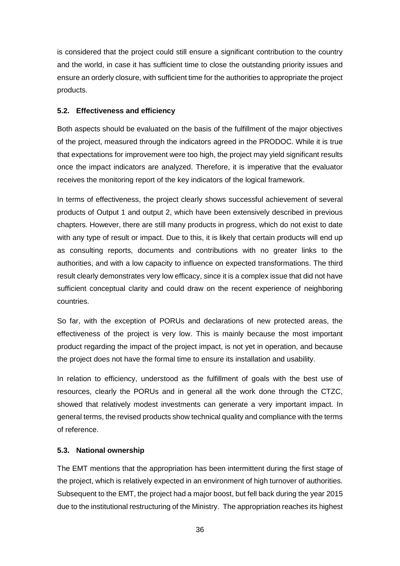is considered that the project could still ensure a significant contribution to the country and the world, in case it has sufficient time to close the outstanding priority issues and ensure an orderly closure, with sufficient time for the authorities to appropriate the project products.

#### <span id="page-35-0"></span>**5.2. Effectiveness and efficiency**

Both aspects should be evaluated on the basis of the fulfillment of the major objectives of the project, measured through the indicators agreed in the PRODOC. While it is true that expectations for improvement were too high, the project may yield significant results once the impact indicators are analyzed. Therefore, it is imperative that the evaluator receives the monitoring report of the key indicators of the logical framework.

In terms of effectiveness, the project clearly shows successful achievement of several products of Output 1 and output 2, which have been extensively described in previous chapters. However, there are still many products in progress, which do not exist to date with any type of result or impact. Due to this, it is likely that certain products will end up as consulting reports, documents and contributions with no greater links to the authorities, and with a low capacity to influence on expected transformations. The third result clearly demonstrates very low efficacy, since it is a complex issue that did not have sufficient conceptual clarity and could draw on the recent experience of neighboring countries.

So far, with the exception of PORUs and declarations of new protected areas, the effectiveness of the project is very low. This is mainly because the most important product regarding the impact of the project impact, is not yet in operation, and because the project does not have the formal time to ensure its installation and usability.

In relation to efficiency, understood as the fulfillment of goals with the best use of resources, clearly the PORUs and in general all the work done through the CTZC, showed that relatively modest investments can generate a very important impact. In general terms, the revised products show technical quality and compliance with the terms of reference.

#### <span id="page-35-1"></span>**5.3. National ownership**

The EMT mentions that the appropriation has been intermittent during the first stage of the project, which is relatively expected in an environment of high turnover of authorities. Subsequent to the EMT, the project had a major boost, but fell back during the year 2015 due to the institutional restructuring of the Ministry. The appropriation reaches its highest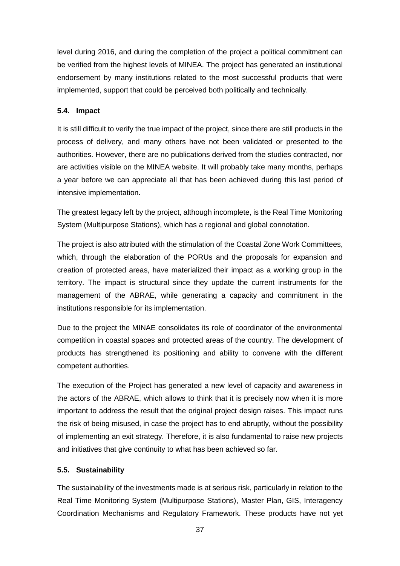level during 2016, and during the completion of the project a political commitment can be verified from the highest levels of MINEA. The project has generated an institutional endorsement by many institutions related to the most successful products that were implemented, support that could be perceived both politically and technically.

#### <span id="page-36-0"></span>**5.4. Impact**

It is still difficult to verify the true impact of the project, since there are still products in the process of delivery, and many others have not been validated or presented to the authorities. However, there are no publications derived from the studies contracted, nor are activities visible on the MINEA website. It will probably take many months, perhaps a year before we can appreciate all that has been achieved during this last period of intensive implementation.

The greatest legacy left by the project, although incomplete, is the Real Time Monitoring System (Multipurpose Stations), which has a regional and global connotation.

The project is also attributed with the stimulation of the Coastal Zone Work Committees, which, through the elaboration of the PORUs and the proposals for expansion and creation of protected areas, have materialized their impact as a working group in the territory. The impact is structural since they update the current instruments for the management of the ABRAE, while generating a capacity and commitment in the institutions responsible for its implementation.

Due to the project the MINAE consolidates its role of coordinator of the environmental competition in coastal spaces and protected areas of the country. The development of products has strengthened its positioning and ability to convene with the different competent authorities.

The execution of the Project has generated a new level of capacity and awareness in the actors of the ABRAE, which allows to think that it is precisely now when it is more important to address the result that the original project design raises. This impact runs the risk of being misused, in case the project has to end abruptly, without the possibility of implementing an exit strategy. Therefore, it is also fundamental to raise new projects and initiatives that give continuity to what has been achieved so far.

#### <span id="page-36-1"></span>**5.5. Sustainability**

The sustainability of the investments made is at serious risk, particularly in relation to the Real Time Monitoring System (Multipurpose Stations), Master Plan, GIS, Interagency Coordination Mechanisms and Regulatory Framework. These products have not yet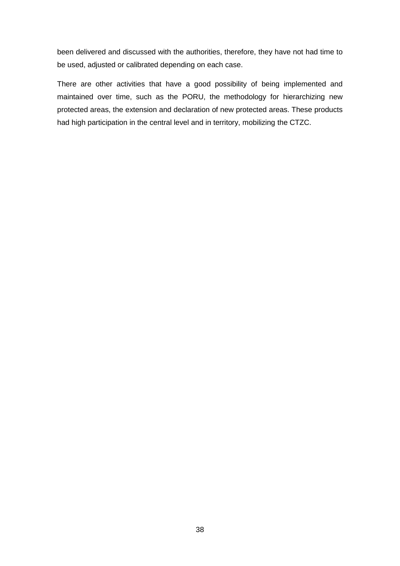been delivered and discussed with the authorities, therefore, they have not had time to be used, adjusted or calibrated depending on each case.

There are other activities that have a good possibility of being implemented and maintained over time, such as the PORU, the methodology for hierarchizing new protected areas, the extension and declaration of new protected areas. These products had high participation in the central level and in territory, mobilizing the CTZC.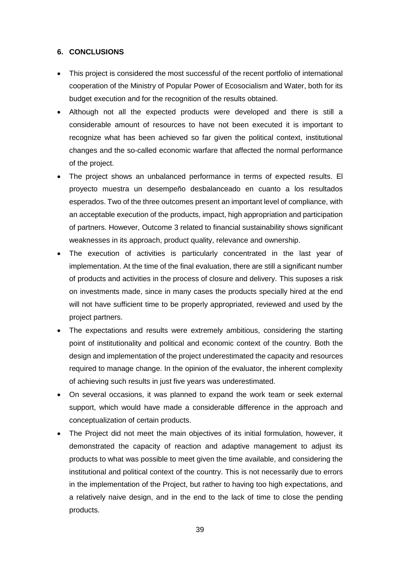#### <span id="page-38-0"></span>**6. CONCLUSIONS**

- This project is considered the most successful of the recent portfolio of international cooperation of the Ministry of Popular Power of Ecosocialism and Water, both for its budget execution and for the recognition of the results obtained.
- Although not all the expected products were developed and there is still a considerable amount of resources to have not been executed it is important to recognize what has been achieved so far given the political context, institutional changes and the so-called economic warfare that affected the normal performance of the project.
- The project shows an unbalanced performance in terms of expected results. El proyecto muestra un desempeño desbalanceado en cuanto a los resultados esperados. Two of the three outcomes present an important level of compliance, with an acceptable execution of the products, impact, high appropriation and participation of partners. However, Outcome 3 related to financial sustainability shows significant weaknesses in its approach, product quality, relevance and ownership.
- The execution of activities is particularly concentrated in the last year of implementation. At the time of the final evaluation, there are still a significant number of products and activities in the process of closure and delivery. This suposes a risk on investments made, since in many cases the products specially hired at the end will not have sufficient time to be properly appropriated, reviewed and used by the project partners.
- The expectations and results were extremely ambitious, considering the starting point of institutionality and political and economic context of the country. Both the design and implementation of the project underestimated the capacity and resources required to manage change. In the opinion of the evaluator, the inherent complexity of achieving such results in just five years was underestimated.
- On several occasions, it was planned to expand the work team or seek external support, which would have made a considerable difference in the approach and conceptualization of certain products.
- The Project did not meet the main objectives of its initial formulation, however, it demonstrated the capacity of reaction and adaptive management to adjust its products to what was possible to meet given the time available, and considering the institutional and political context of the country. This is not necessarily due to errors in the implementation of the Project, but rather to having too high expectations, and a relatively naive design, and in the end to the lack of time to close the pending products.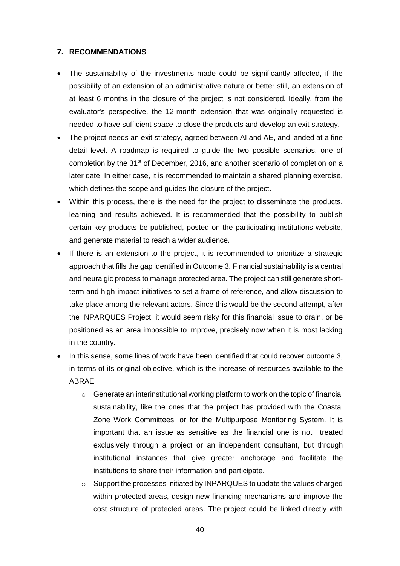#### <span id="page-39-0"></span>**7. RECOMMENDATIONS**

- The sustainability of the investments made could be significantly affected, if the possibility of an extension of an administrative nature or better still, an extension of at least 6 months in the closure of the project is not considered. Ideally, from the evaluator's perspective, the 12-month extension that was originally requested is needed to have sufficient space to close the products and develop an exit strategy.
- The project needs an exit strategy, agreed between AI and AE, and landed at a fine detail level. A roadmap is required to guide the two possible scenarios, one of completion by the 31<sup>st</sup> of December, 2016, and another scenario of completion on a later date. In either case, it is recommended to maintain a shared planning exercise, which defines the scope and guides the closure of the project.
- Within this process, there is the need for the project to disseminate the products, learning and results achieved. It is recommended that the possibility to publish certain key products be published, posted on the participating institutions website, and generate material to reach a wider audience.
- If there is an extension to the project, it is recommended to prioritize a strategic approach that fills the gap identified in Outcome 3. Financial sustainability is a central and neuralgic process to manage protected area. The project can still generate shortterm and high-impact initiatives to set a frame of reference, and allow discussion to take place among the relevant actors. Since this would be the second attempt, after the INPARQUES Project, it would seem risky for this financial issue to drain, or be positioned as an area impossible to improve, precisely now when it is most lacking in the country.
- In this sense, some lines of work have been identified that could recover outcome 3. in terms of its original objective, which is the increase of resources available to the ABRAE
	- o Generate an interinstitutional working platform to work on the topic of financial sustainability, like the ones that the project has provided with the Coastal Zone Work Committees, or for the Multipurpose Monitoring System. It is important that an issue as sensitive as the financial one is not treated exclusively through a project or an independent consultant, but through institutional instances that give greater anchorage and facilitate the institutions to share their information and participate.
	- $\circ$  Support the processes initiated by INPARQUES to update the values charged within protected areas, design new financing mechanisms and improve the cost structure of protected areas. The project could be linked directly with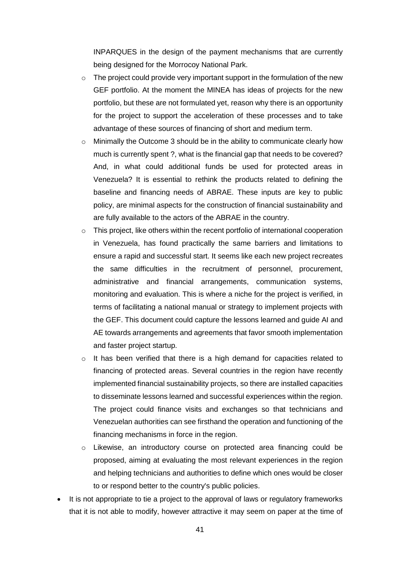INPARQUES in the design of the payment mechanisms that are currently being designed for the Morrocoy National Park.

- $\circ$  The project could provide very important support in the formulation of the new GEF portfolio. At the moment the MINEA has ideas of projects for the new portfolio, but these are not formulated yet, reason why there is an opportunity for the project to support the acceleration of these processes and to take advantage of these sources of financing of short and medium term.
- o Minimally the Outcome 3 should be in the ability to communicate clearly how much is currently spent ?, what is the financial gap that needs to be covered? And, in what could additional funds be used for protected areas in Venezuela? It is essential to rethink the products related to defining the baseline and financing needs of ABRAE. These inputs are key to public policy, are minimal aspects for the construction of financial sustainability and are fully available to the actors of the ABRAE in the country.
- $\circ$  This project, like others within the recent portfolio of international cooperation in Venezuela, has found practically the same barriers and limitations to ensure a rapid and successful start. It seems like each new project recreates the same difficulties in the recruitment of personnel, procurement, administrative and financial arrangements, communication systems, monitoring and evaluation. This is where a niche for the project is verified, in terms of facilitating a national manual or strategy to implement projects with the GEF. This document could capture the lessons learned and guide AI and AE towards arrangements and agreements that favor smooth implementation and faster project startup.
- o It has been verified that there is a high demand for capacities related to financing of protected areas. Several countries in the region have recently implemented financial sustainability projects, so there are installed capacities to disseminate lessons learned and successful experiences within the region. The project could finance visits and exchanges so that technicians and Venezuelan authorities can see firsthand the operation and functioning of the financing mechanisms in force in the region.
- o Likewise, an introductory course on protected area financing could be proposed, aiming at evaluating the most relevant experiences in the region and helping technicians and authorities to define which ones would be closer to or respond better to the country's public policies.
- It is not appropriate to tie a project to the approval of laws or regulatory frameworks that it is not able to modify, however attractive it may seem on paper at the time of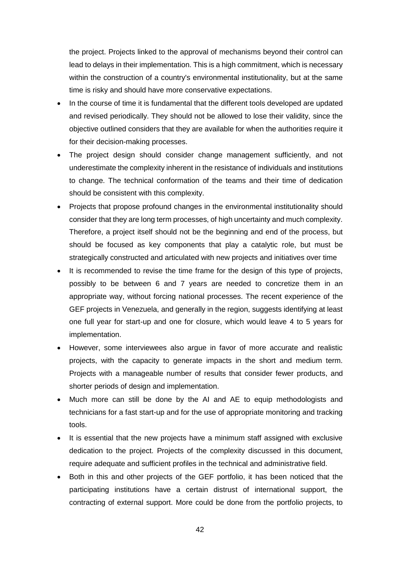the project. Projects linked to the approval of mechanisms beyond their control can lead to delays in their implementation. This is a high commitment, which is necessary within the construction of a country's environmental institutionality, but at the same time is risky and should have more conservative expectations.

- In the course of time it is fundamental that the different tools developed are updated and revised periodically. They should not be allowed to lose their validity, since the objective outlined considers that they are available for when the authorities require it for their decision-making processes.
- The project design should consider change management sufficiently, and not underestimate the complexity inherent in the resistance of individuals and institutions to change. The technical conformation of the teams and their time of dedication should be consistent with this complexity.
- Projects that propose profound changes in the environmental institutionality should consider that they are long term processes, of high uncertainty and much complexity. Therefore, a project itself should not be the beginning and end of the process, but should be focused as key components that play a catalytic role, but must be strategically constructed and articulated with new projects and initiatives over time
- It is recommended to revise the time frame for the design of this type of projects, possibly to be between 6 and 7 years are needed to concretize them in an appropriate way, without forcing national processes. The recent experience of the GEF projects in Venezuela, and generally in the region, suggests identifying at least one full year for start-up and one for closure, which would leave 4 to 5 years for implementation.
- However, some interviewees also argue in favor of more accurate and realistic projects, with the capacity to generate impacts in the short and medium term. Projects with a manageable number of results that consider fewer products, and shorter periods of design and implementation.
- Much more can still be done by the AI and AE to equip methodologists and technicians for a fast start-up and for the use of appropriate monitoring and tracking tools.
- It is essential that the new projects have a minimum staff assigned with exclusive dedication to the project. Projects of the complexity discussed in this document, require adequate and sufficient profiles in the technical and administrative field.
- Both in this and other projects of the GEF portfolio, it has been noticed that the participating institutions have a certain distrust of international support, the contracting of external support. More could be done from the portfolio projects, to